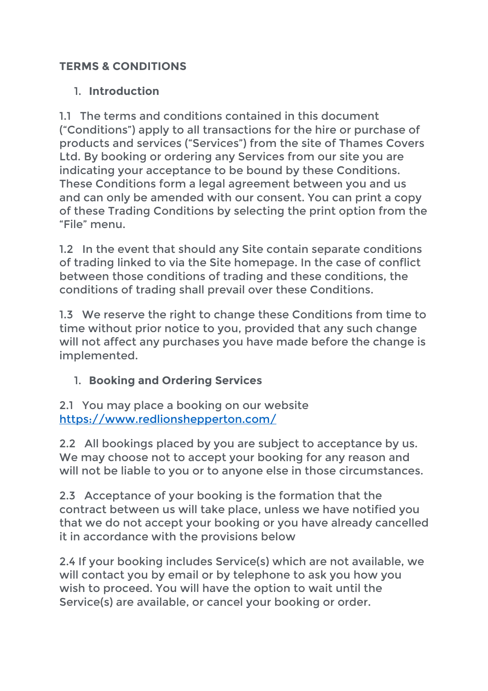## **TERMS & CONDITIONS**

## 1. **Introduction**

1.1 The terms and conditions contained in this document ("Conditions") apply to all transactions for the hire or purchase of products and services ("Services") from the site of Thames Covers Ltd. By booking or ordering any Services from our site you are indicating your acceptance to be bound by these Conditions. These Conditions form a legal agreement between you and us and can only be amended with our consent. You can print a copy of these Trading Conditions by selecting the print option from the "File" menu.

1.2 In the event that should any Site contain separate conditions of trading linked to via the Site homepage. In the case of conflict between those conditions of trading and these conditions, the conditions of trading shall prevail over these Conditions.

1.3 We reserve the right to change these Conditions from time to time without prior notice to you, provided that any such change will not affect any purchases you have made before the change is implemented.

1. **Booking and Ordering Services**

2.1 You may place a booking on our website https://www.redlionshepperton.com/

2.2 All bookings placed by you are subject to acceptance by us. We may choose not to accept your booking for any reason and will not be liable to you or to anyone else in those circumstances.

2.3 Acceptance of your booking is the formation that the contract between us will take place, unless we have notified you that we do not accept your booking or you have already cancelled it in accordance with the provisions below

2.4 If your booking includes Service(s) which are not available, we will contact you by email or by telephone to ask you how you wish to proceed. You will have the option to wait until the Service(s) are available, or cancel your booking or order.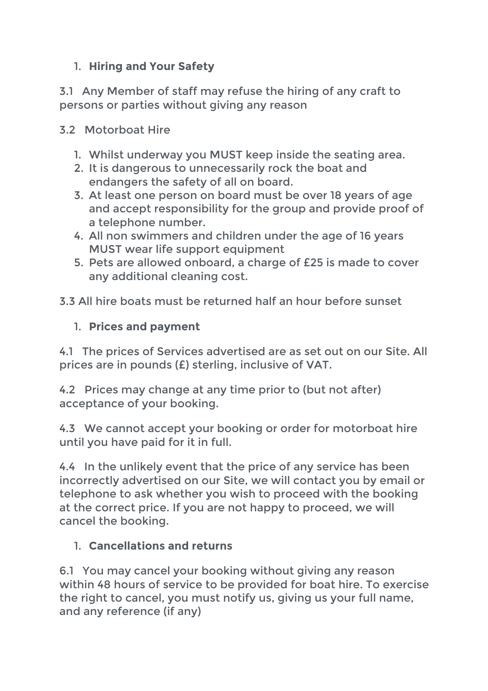# 1. **Hiring and Your Safety**

3.1 Any Member of staff may refuse the hiring of any craft to persons or parties without giving any reason

### 3.2 Motorboat Hire

- 1. Whilst underway you MUST keep inside the seating area.
- 2. It is dangerous to unnecessarily rock the boat and endangers the safety of all on board.
- 3. At least one person on board must be over 18 years of age and accept responsibility for the group and provide proof of a telephone number.
- 4. All non swimmers and children under the age of 16 years MUST wear life support equipment
- 5. Pets are allowed onboard, a charge of £25 is made to cover any additional cleaning cost.

3.3 All hire boats must be returned half an hour before sunset

### 1. **Prices and payment**

4.1 The prices of Services advertised are as set out on our Site. All prices are in pounds (£) sterling, inclusive of VAT.

4.2 Prices may change at any time prior to (but not after) acceptance of your booking.

4.3 We cannot accept your booking or order for motorboat hire until you have paid for it in full.

4.4 In the unlikely event that the price of any service has been incorrectly advertised on our Site, we will contact you by email or telephone to ask whether you wish to proceed with the booking at the correct price. If you are not happy to proceed, we will cancel the booking.

## 1. **Cancellations and returns**

6.1 You may cancel your booking without giving any reason within 48 hours of service to be provided for boat hire. To exercise the right to cancel, you must notify us, giving us your full name, and any reference (if any)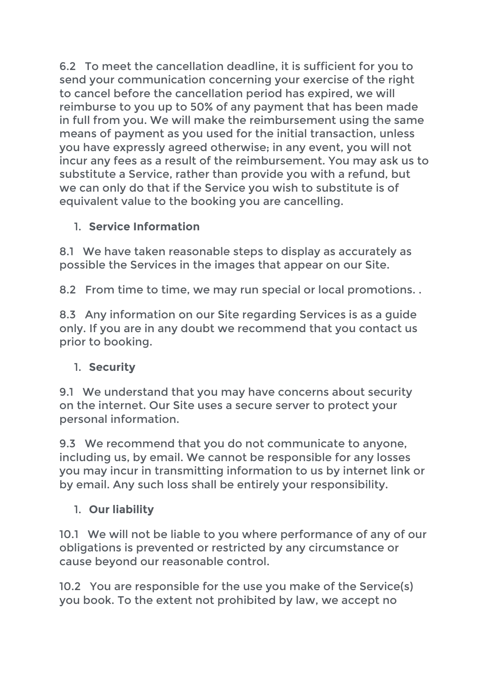6.2 To meet the cancellation deadline, it is sufficient for you to send your communication concerning your exercise of the right to cancel before the cancellation period has expired, we will reimburse to you up to 50% of any payment that has been made in full from you. We will make the reimbursement using the same means of payment as you used for the initial transaction, unless you have expressly agreed otherwise; in any event, you will not incur any fees as a result of the reimbursement. You may ask us to substitute a Service, rather than provide you with a refund, but we can only do that if the Service you wish to substitute is of equivalent value to the booking you are cancelling.

# 1. **Service Information**

8.1 We have taken reasonable steps to display as accurately as possible the Services in the images that appear on our Site.

8.2 From time to time, we may run special or local promotions. .

8.3 Any information on our Site regarding Services is as a guide only. If you are in any doubt we recommend that you contact us prior to booking.

# 1. **Security**

9.1 We understand that you may have concerns about security on the internet. Our Site uses a secure server to protect your personal information.

9.3 We recommend that you do not communicate to anyone, including us, by email. We cannot be responsible for any losses you may incur in transmitting information to us by internet link or by email. Any such loss shall be entirely your responsibility.

# 1. **Our liability**

10.1 We will not be liable to you where performance of any of our obligations is prevented or restricted by any circumstance or cause beyond our reasonable control.

10.2 You are responsible for the use you make of the Service(s) you book. To the extent not prohibited by law, we accept no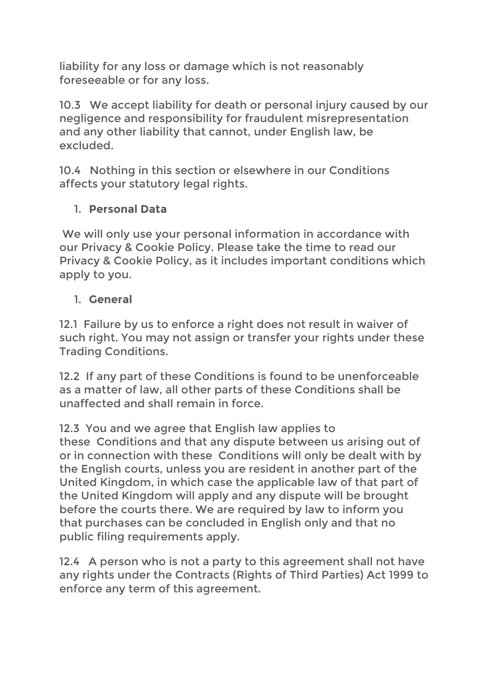liability for any loss or damage which is not reasonably foreseeable or for any loss.

10.3 We accept liability for death or personal injury caused by our negligence and responsibility for fraudulent misrepresentation and any other liability that cannot, under English law, be excluded.

10.4 Nothing in this section or elsewhere in our Conditions affects your statutory legal rights.

## 1. **Personal Data**

We will only use your personal information in accordance with our Privacy & Cookie Policy. Please take the time to read our Privacy & Cookie Policy, as it includes important conditions which apply to you.

### 1. **General**

12.1 Failure by us to enforce a right does not result in waiver of such right. You may not assign or transfer your rights under these Trading Conditions.

12.2 If any part of these Conditions is found to be unenforceable as a matter of law, all other parts of these Conditions shall be unaffected and shall remain in force.

12.3 You and we agree that English law applies to these Conditions and that any dispute between us arising out of or in connection with these Conditions will only be dealt with by the English courts, unless you are resident in another part of the United Kingdom, in which case the applicable law of that part of the United Kingdom will apply and any dispute will be brought before the courts there. We are required by law to inform you that purchases can be concluded in English only and that no public filing requirements apply.

12.4 A person who is not a party to this agreement shall not have any rights under the Contracts (Rights of Third Parties) Act 1999 to enforce any term of this agreement.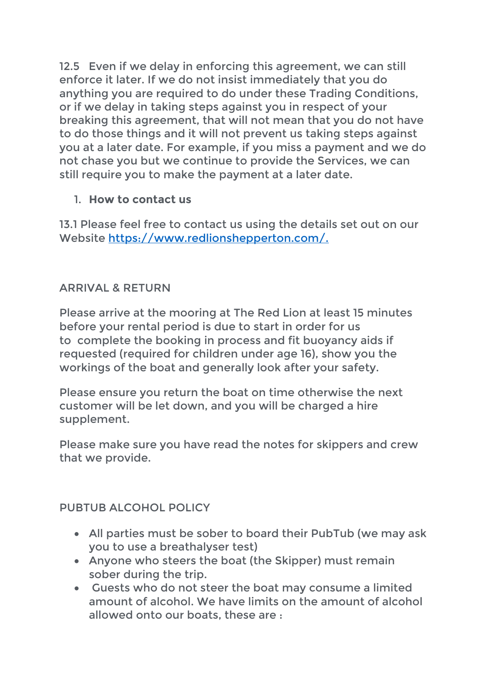12.5 Even if we delay in enforcing this agreement, we can still enforce it later. If we do not insist immediately that you do anything you are required to do under these Trading Conditions, or if we delay in taking steps against you in respect of your breaking this agreement, that will not mean that you do not have to do those things and it will not prevent us taking steps against you at a later date. For example, if you miss a payment and we do not chase you but we continue to provide the Services, we can still require you to make the payment at a later date.

## 1. **How to contact us**

13.1 Please feel free to contact us using the details set out on our Website https://www.redlionshepperton.com/.

### ARRIVAL & RETURN

Please arrive at the mooring at The Red Lion at least 15 minutes before your rental period is due to start in order for us to complete the booking in process and fit buoyancy aids if requested (required for children under age 16), show you the workings of the boat and generally look after your safety.

Please ensure you return the boat on time otherwise the next customer will be let down, and you will be charged a hire supplement.

Please make sure you have read the notes for skippers and crew that we provide.

#### PUBTUB ALCOHOL POLICY

- All parties must be sober to board their PubTub (we may ask you to use a breathalyser test)
- Anyone who steers the boat (the Skipper) must remain sober during the trip.
- Guests who do not steer the boat may consume a limited amount of alcohol. We have limits on the amount of alcohol allowed onto our boats, these are :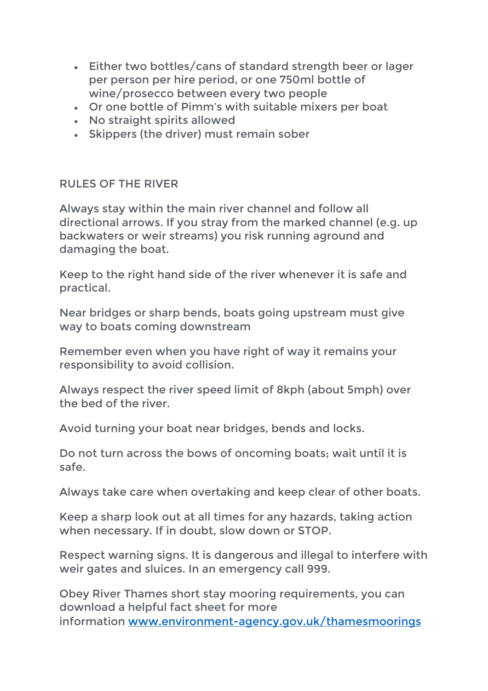- Either two bottles/cans of standard strength beer or lager per person per hire period, or one 750ml bottle of wine/prosecco between every two people
- Or one bottle of Pimm's with suitable mixers per boat
- No straight spirits allowed
- Skippers (the driver) must remain sober

#### RULES OF THE RIVER

Always stay within the main river channel and follow all directional arrows. If you stray from the marked channel (e.g. up backwaters or weir streams) you risk running aground and damaging the boat.

Keep to the right hand side of the river whenever it is safe and practical.

Near bridges or sharp bends, boats going upstream must give way to boats coming downstream

Remember even when you have right of way it remains your responsibility to avoid collision.

Always respect the river speed limit of 8kph (about 5mph) over the bed of the river.

Avoid turning your boat near bridges, bends and locks.

Do not turn across the bows of oncoming boats; wait until it is safe.

Always take care when overtaking and keep clear of other boats.

Keep a sharp look out at all times for any hazards, taking action when necessary. If in doubt, slow down or STOP.

Respect warning signs. It is dangerous and illegal to interfere with weir gates and sluices. In an emergency call 999.

Obey River Thames short stay mooring requirements, you can download a helpful fact sheet for more information www.environment-agency.gov.uk/thamesmoorings